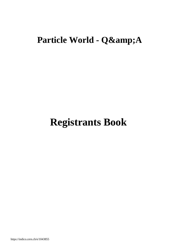## **Particle World - Q&A**

# **Registrants Book**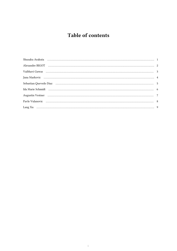### Table of contents

| Shusaku Arakuta (1999) - 1999) - 1999 - 1999 - 1999 - 1999 - 1999 - 1999 - 1999 - 1999 - 1999 - 1999 - 1999 - 1        |  |
|------------------------------------------------------------------------------------------------------------------------|--|
|                                                                                                                        |  |
|                                                                                                                        |  |
|                                                                                                                        |  |
|                                                                                                                        |  |
| Ida Marie Schmidt (al. 2003) (al. 2010) (al. 2010) (al. 2010) (al. 2010) (al. 2010) (al. 2010) (al. 2010) (al. 2010) ( |  |
|                                                                                                                        |  |
|                                                                                                                        |  |
|                                                                                                                        |  |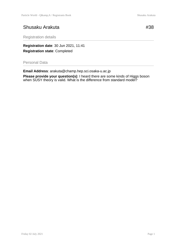#### Shusaku Arakuta #38

Registration details

**Registration date**: 30 Jun 2021, 11:41 **Registration state**: Completed

Personal Data

**Email Address**: arakuta@champ.hep.sci.osaka-u.ac.jp

**Please provide your question(s)**: I heard there are some kinds of Higgs boson when SUSY theory is valid. What is the difference from standard model?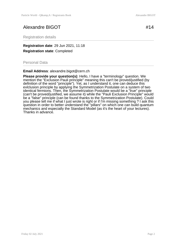#### Alexandre BIGOT #14

Registration details

**Registration date**: 29 Jun 2021, 11:18 **Registration state**: Completed

Personal Data

**Email Address**: alexandre.bigot@cern.ch

**Please provide your question(s)**: Hello, I have a "terminology" question. We mention the "Exclusion Pauli principle" meaning this can't be proved/justified (by definition of the word "principle"). Yet, as I understand it, one can deduce this exiclusion principle by applying the Symmetrization Postulate on a system of two identical fermions. Then, the Symmetrization Postulate would be a "true" principle (can't be proved/justified, we assume it) while the "Pauli Exclusion Principle" would be a "false" principle (can be found thanks to the Symmetrization Postulate). Could you please tell me if what I just wrote is right or if I'm missing something ? I ask this question in order to better understand the "pillars" on which one can build quantum mechanics and especially the Standard Model (as it's the heart of your lectures). Thanks in advance.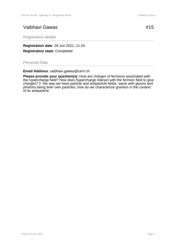#### Vaibhavi Gawas  $\#15$

Registration details

**Registration date**: 29 Jun 2021, 11:24 **Registration state**: Completed

Personal Data

**Email Address**: vaibhavi.gawas@cern.ch

**Please provide your question(s)**: How are charges of fermions associated with the hypercharge field? How does hypercharge interact with the fermion field to give charges? 2. the way we have particle and antiparticle fields, same with gluons and photons being their own particles, how do we characterize graviton in the context of its antiparticle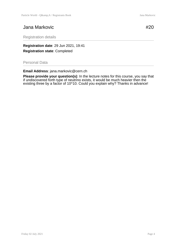#### Jana Markovic **#20**

Registration details

**Registration date**: 29 Jun 2021, 19:41 **Registration state**: Completed

Personal Data

**Email Address**: jana.markovic@cern.ch

**Please provide your question(s)**: In the lecture notes for this course, you say that if undiscovered forth type of neutrino exists, it would be much heavier then the existing three by a factor of 10^10. Could you explain why? Thanks in advance!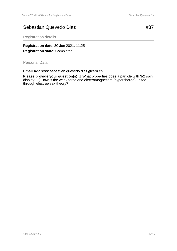#### Sebastian Quevedo Diaz **#37**

Registration details

**Registration date**: 30 Jun 2021, 11:25 **Registration state**: Completed

Personal Data

**Email Address**: sebastian.quevedo.diaz@cern.ch

**Please provide your question(s)**: 1)What properties does a particle with 3/2 spin display? 2) How is the weak force and electromagnetism (hypercharge) united through electroweak theory?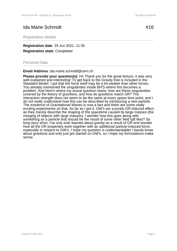#### Ida Marie Schmidt #16

Registration details

**Registration date**: 29 Jun 2021, 11:35 **Registration state**: Completed

Personal Data

**Email Address**: ida.marie.schmidt@cern.ch

**Please provide your question(s)**: Hi! Thank you for the great lecture, it was very well explained and interesting! To get back to the Gravity that is included in the Standard Model: I got that the force itself may be a lot weaker than other forces. You already mentioned the singularities inside BH'S where this becomes a problem. And here's where my actual question starts: how are these singularities covered by the theory of gravitons, and how do gravitons match GR? The interaction strength does not seem to be the same at every space time point, and I do not really understand how this can be described by introducing a new particle. The existence of Gravitational Waves is now a fact and there are some really exciting experiments on that. As far as I got it, GW's are a purely GR induced effect as they merely describe the shaping of the spacetime caused by large masses (the merging of objects with large masses). I wonder how this goes along with something as a particle that should be the result of some other field (aft like)? So long story short: I've only ever learned about gravity as a result of GR and wonder how all the GR properties work together with an additional particle-induced force, especially in respect to GW's. I hope my question is understandable! I barely know about gravitons and only just got started on GW's, so I hope my formulations make sense.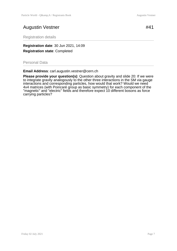#### Augustin Vestner #41

Registration details

**Registration date**: 30 Jun 2021, 14:09 **Registration state**: Completed

Personal Data

**Email Address**: carl.augustin.vestner@cern.ch

**Please provide your question(s)**: Question about gravity and slide 20: If we were to integrate gravity analogously to the other three interactions in the SM via gauge interactions and corresponding particles, how would that work? Would we need 4x4 matrices (with Poincaré group as basic symmetry) for each component of the "magnetic" and "electric" fields and therefore expect 10 different bosons as force carrying particles?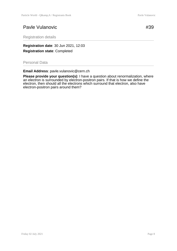#### Pavle Vulanovic **#39**

Registration details

**Registration date**: 30 Jun 2021, 12:03 **Registration state**: Completed

Personal Data

**Email Address**: pavle.vulanovic@cern.ch

**Please provide your question(s)**: I have a question about renormalization, where an electron is surrounded by electron-positron pairs. If that is how we define the electron, then should all the electrons which surround that electron, also have electron-positron pairs around them?